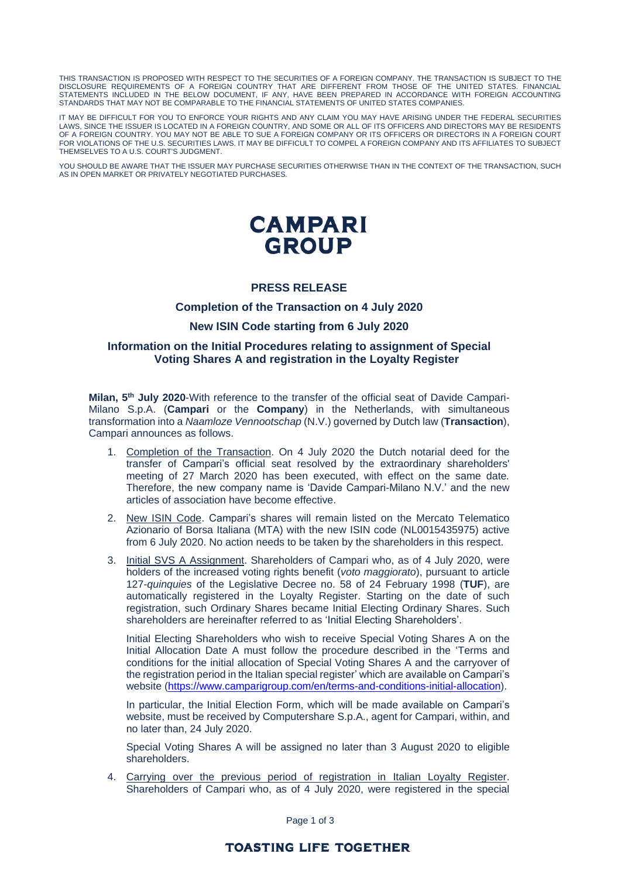THIS TRANSACTION IS PROPOSED WITH RESPECT TO THE SECURITIES OF A FOREIGN COMPANY. THE TRANSACTION IS SUBJECT TO THE DISCLOSURE REQUIREMENTS OF A FOREIGN COUNTRY THAT ARE DIFFERENT FROM THOSE OF THE UNITED STATES. FINANCIAL STATEMENTS INCLUDED IN THE BELOW DOCUMENT, IF ANY, HAVE BEEN PREPARED IN ACCORDANCE WITH FOREIGN ACCOUNTING STANDARDS THAT MAY NOT BE COMPARABLE TO THE FINANCIAL STATEMENTS OF UNITED STATES COMPANIES.

IT MAY BE DIFFICULT FOR YOU TO ENFORCE YOUR RIGHTS AND ANY CLAIM YOU MAY HAVE ARISING UNDER THE FEDERAL SECURITIES LAWS, SINCE THE ISSUER IS LOCATED IN A FOREIGN COUNTRY, AND SOME OR ALL OF ITS OFFICERS AND DIRECTORS MAY BE RESIDENTS OF A FOREIGN COUNTRY. YOU MAY NOT BE ABLE TO SUE A FOREIGN COMPANY OR ITS OFFICERS OR DIRECTORS IN A FOREIGN COURT FOR VIOLATIONS OF THE U.S. SECURITIES LAWS. IT MAY BE DIFFICULT TO COMPEL A FOREIGN COMPANY AND ITS AFFILIATES TO SUBJECT THEMSELVES TO A U.S. COURT'S JUDGMENT.

YOU SHOULD BE AWARE THAT THE ISSUER MAY PURCHASE SECURITIES OTHERWISE THAN IN THE CONTEXT OF THE TRANSACTION, SUCH AS IN OPEN MARKET OR PRIVATELY NEGOTIATED PURCHASES.

# **CAMPARI GROUP**

## **PRESS RELEASE**

#### **Completion of the Transaction on 4 July 2020**

#### **New ISIN Code starting from 6 July 2020**

### **Information on the Initial Procedures relating to assignment of Special Voting Shares A and registration in the Loyalty Register**

**Milan, 5 th July 2020**-With reference to the transfer of the official seat of Davide Campari-Milano S.p.A. (**Campari** or the **Company**) in the Netherlands, with simultaneous transformation into a *Naamloze Vennootschap* (N.V.) governed by Dutch law (**Transaction**), Campari announces as follows.

- 1. Completion of the Transaction. On 4 July 2020 the Dutch notarial deed for the transfer of Campari's official seat resolved by the extraordinary shareholders' meeting of 27 March 2020 has been executed, with effect on the same date*.* Therefore, the new company name is 'Davide Campari-Milano N.V.' and the new articles of association have become effective.
- 2. New ISIN Code. Campari's shares will remain listed on the Mercato Telematico Azionario of Borsa Italiana (MTA) with the new ISIN code (NL0015435975) active from 6 July 2020. No action needs to be taken by the shareholders in this respect.
- 3. Initial SVS A Assignment. Shareholders of Campari who, as of 4 July 2020, were holders of the increased voting rights benefit (*voto maggiorato*), pursuant to article 127-*quinquies* of the Legislative Decree no. 58 of 24 February 1998 (**TUF**), are automatically registered in the Loyalty Register. Starting on the date of such registration, such Ordinary Shares became Initial Electing Ordinary Shares. Such shareholders are hereinafter referred to as 'Initial Electing Shareholders'.

Initial Electing Shareholders who wish to receive Special Voting Shares A on the Initial Allocation Date A must follow the procedure described in the 'Terms and conditions for the initial allocation of Special Voting Shares A and the carryover of the registration period in the Italian special register' which are available on Campari's website [\(https://www.camparigroup.com/en/terms-and-conditions-initial-allocation\)](https://www.camparigroup.com/en/terms-and-conditions-initial-allocation).

In particular, the Initial Election Form, which will be made available on Campari's website, must be received by Computershare S.p.A., agent for Campari, within, and no later than, 24 July 2020.

Special Voting Shares A will be assigned no later than 3 August 2020 to eligible shareholders.

4. Carrying over the previous period of registration in Italian Loyalty Register. Shareholders of Campari who, as of 4 July 2020, were registered in the special

Page 1 of 3

# **TOASTING LIFE TOGETHER**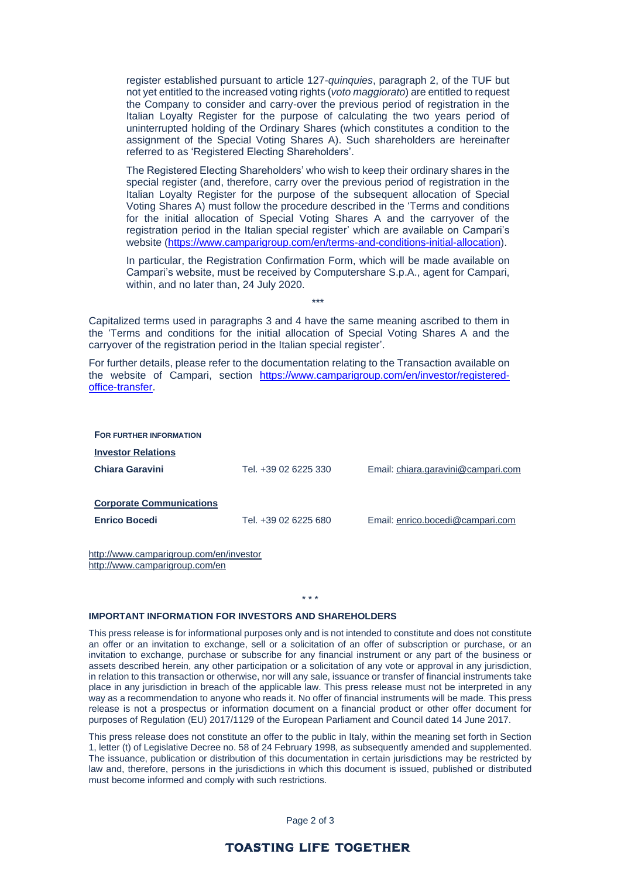register established pursuant to article 127-*quinquies*, paragraph 2, of the TUF but not yet entitled to the increased voting rights (*voto maggiorato*) are entitled to request the Company to consider and carry-over the previous period of registration in the Italian Loyalty Register for the purpose of calculating the two years period of uninterrupted holding of the Ordinary Shares (which constitutes a condition to the assignment of the Special Voting Shares A). Such shareholders are hereinafter referred to as 'Registered Electing Shareholders'.

The Registered Electing Shareholders' who wish to keep their ordinary shares in the special register (and, therefore, carry over the previous period of registration in the Italian Loyalty Register for the purpose of the subsequent allocation of Special Voting Shares A) must follow the procedure described in the 'Terms and conditions for the initial allocation of Special Voting Shares A and the carryover of the registration period in the Italian special register' which are available on Campari's website [\(https://www.camparigroup.com/en/terms-and-conditions-initial-allocation\)](https://www.camparigroup.com/en/terms-and-conditions-initial-allocation).

In particular, the Registration Confirmation Form, which will be made available on Campari's website, must be received by Computershare S.p.A., agent for Campari, within, and no later than, 24 July 2020.

\*\*\*

Capitalized terms used in paragraphs 3 and 4 have the same meaning ascribed to them in the 'Terms and conditions for the initial allocation of Special Voting Shares A and the carryover of the registration period in the Italian special register'.

For further details, please refer to the documentation relating to the Transaction available on the website of Campari, section [https://www.camparigroup.com/en/investor/registered](https://www.camparigroup.com/en/investor/registered-office-transfer)[office-transfer.](https://www.camparigroup.com/en/investor/registered-office-transfer)

| FOR FURTHER INFORMATION                                 |                      |                                    |
|---------------------------------------------------------|----------------------|------------------------------------|
| <b>Investor Relations</b>                               |                      |                                    |
| Chiara Garavini                                         | Tel. +39 02 6225 330 | Email: chiara.garavini@campari.com |
| <b>Corporate Communications</b><br><b>Enrico Bocedi</b> | Tel. +39 02 6225 680 | Email: enrico.bocedi@campari.com   |

http://www.camparigroup.com/en/investor http://www.camparigroup.com/en

#### **IMPORTANT INFORMATION FOR INVESTORS AND SHAREHOLDERS**

This press release is for informational purposes only and is not intended to constitute and does not constitute an offer or an invitation to exchange, sell or a solicitation of an offer of subscription or purchase, or an invitation to exchange, purchase or subscribe for any financial instrument or any part of the business or assets described herein, any other participation or a solicitation of any vote or approval in any jurisdiction, in relation to this transaction or otherwise, nor will any sale, issuance or transfer of financial instruments take place in any jurisdiction in breach of the applicable law. This press release must not be interpreted in any way as a recommendation to anyone who reads it. No offer of financial instruments will be made. This press release is not a prospectus or information document on a financial product or other offer document for purposes of Regulation (EU) 2017/1129 of the European Parliament and Council dated 14 June 2017.

\* \* \*

This press release does not constitute an offer to the public in Italy, within the meaning set forth in Section 1, letter (t) of Legislative Decree no. 58 of 24 February 1998, as subsequently amended and supplemented. The issuance, publication or distribution of this documentation in certain jurisdictions may be restricted by law and, therefore, persons in the jurisdictions in which this document is issued, published or distributed must become informed and comply with such restrictions.

Page 2 of 3

# **TOASTING LIFE TOGETHER**